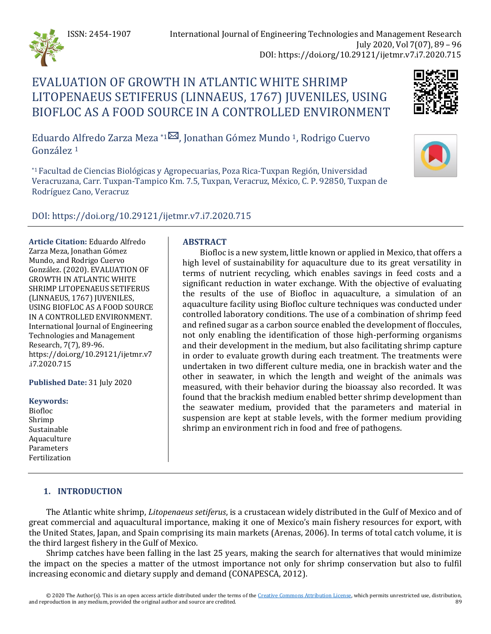

# EVALUATION OF GROWTH IN ATLANTIC WHITE SHRIMP LITOPENAEUS SETIFERUS (LINNAEUS, 1767) JUVENILES, USING BIOFLOC AS A FOOD SOURCE IN A CONTROLLED ENVIRONMENT



Eduardo Alfredo Zarza Meza \*1 $\boxtimes$ , Jonathan Gómez Mundo <sup>1</sup>, Rodrigo Cuervo González <sup>1</sup>

\*1 Facultad de Ciencias Biológicas y Agropecuarias, Poza Rica-Tuxpan Región, Universidad Veracruzana, Carr. Tuxpan-Tampico Km. 7.5, Tuxpan, Veracruz, México, C. P. 92850, Tuxpan de Rodríguez Cano, Veracruz

# DOI: https://doi.org/10.29121/ijetmr.v7.i7.2020.715

**Article Citation:** Eduardo Alfredo Zarza Meza, Jonathan Gómez Mundo, and Rodrigo Cuervo González. (2020). EVALUATION OF GROWTH IN ATLANTIC WHITE SHRIMP LITOPENAEUS SETIFERUS (LINNAEUS, 1767) JUVENILES, USING BIOFLOC AS A FOOD SOURCE IN A CONTROLLED ENVIRONMENT. International Journal of Engineering Technologies and Management Research, 7(7), 89-96. https://doi.org/10.29121/ijetmr.v7 .i7.2020.715

# **Published Date:** 31 July 2020

**Keywords:**

Biofloc Shrimp Sustainable Aquaculture Parameters Fertilization

# **ABSTRACT**

Biofloc is a new system, little known or applied in Mexico, that offers a high level of sustainability for aquaculture due to its great versatility in terms of nutrient recycling, which enables savings in feed costs and a significant reduction in water exchange. With the objective of evaluating the results of the use of Biofloc in aquaculture, a simulation of an aquaculture facility using Biofloc culture techniques was conducted under controlled laboratory conditions. The use of a combination of shrimp feed and refined sugar as a carbon source enabled the development of floccules, not only enabling the identification of those high-performing organisms and their development in the medium, but also facilitating shrimp capture in order to evaluate growth during each treatment. The treatments were undertaken in two different culture media, one in brackish water and the other in seawater, in which the length and weight of the animals was measured, with their behavior during the bioassay also recorded. It was found that the brackish medium enabled better shrimp development than the seawater medium, provided that the parameters and material in suspension are kept at stable levels, with the former medium providing shrimp an environment rich in food and free of pathogens.

# **1. INTRODUCTION**

The Atlantic white shrimp, *Litopenaeus setiferus*, is a crustacean widely distributed in the Gulf of Mexico and of great commercial and aquacultural importance, making it one of Mexico's main fishery resources for export, with the United States, Japan, and Spain comprising its main markets (Arenas, 2006). In terms of total catch volume, it is the third largest fishery in the Gulf of Mexico.

Shrimp catches have been falling in the last 25 years, making the search for alternatives that would minimize the impact on the species a matter of the utmost importance not only for shrimp conservation but also to fulfil increasing economic and dietary supply and demand (CONAPESCA, 2012).

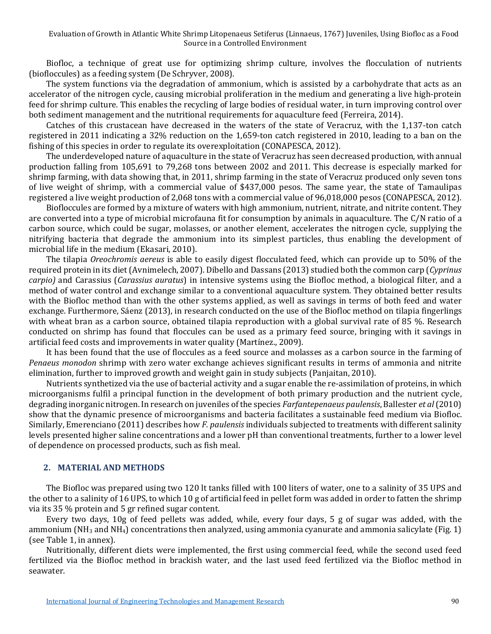#### Evaluation of Growth in Atlantic White Shrimp Litopenaeus Setiferus (Linnaeus, 1767) Juveniles, Using Biofloc as a Food Source in a Controlled Environment

Biofloc, a technique of great use for optimizing shrimp culture, involves the flocculation of nutrients (biofloccules) as a feeding system (De Schryver, 2008).

The system functions via the degradation of ammonium, which is assisted by a carbohydrate that acts as an accelerator of the nitrogen cycle, causing microbial proliferation in the medium and generating a live high-protein feed for shrimp culture. This enables the recycling of large bodies of residual water, in turn improving control over both sediment management and the nutritional requirements for aquaculture feed (Ferreira, 2014).

Catches of this crustacean have decreased in the waters of the state of Veracruz, with the 1,137-ton catch registered in 2011 indicating a 32% reduction on the 1,659-ton catch registered in 2010, leading to a ban on the fishing of this species in order to regulate its overexploitation (CONAPESCA, 2012).

The underdeveloped nature of aquaculture in the state of Veracruz has seen decreased production, with annual production falling from 105,691 to 79,268 tons between 2002 and 2011. This decrease is especially marked for shrimp farming, with data showing that, in 2011, shrimp farming in the state of Veracruz produced only seven tons of live weight of shrimp, with a commercial value of \$437,000 pesos. The same year, the state of Tamaulipas registered a live weight production of 2,068 tons with a commercial value of 96,018,000 pesos (CONAPESCA, 2012).

Biofloccules are formed by a mixture of waters with high ammonium, nutrient, nitrate, and nitrite content. They are converted into a type of microbial microfauna fit for consumption by animals in aquaculture. The C/N ratio of a carbon source, which could be sugar, molasses, or another element, accelerates the nitrogen cycle, supplying the nitrifying bacteria that degrade the ammonium into its simplest particles, thus enabling the development of microbial life in the medium (Ekasari, 2010).

The tilapia *Oreochromis aereus* is able to easily digest flocculated feed, which can provide up to 50% of the required protein in its diet (Avnimelech, 2007). Dibello and Dassans (2013) studied both the common carp (*Cyprinus carpio)* and Carassius (*Carassius auratus*) in intensive systems using the Biofloc method, a biological filter, and a method of water control and exchange similar to a conventional aquaculture system. They obtained better results with the Biofloc method than with the other systems applied, as well as savings in terms of both feed and water exchange. Furthermore, Sáenz (2013), in research conducted on the use of the Biofloc method on tilapia fingerlings with wheat bran as a carbon source, obtained tilapia reproduction with a global survival rate of 85 %. Research conducted on shrimp has found that floccules can be used as a primary feed source, bringing with it savings in artificial feed costs and improvements in water quality (Martínez., 2009).

It has been found that the use of floccules as a feed source and molasses as a carbon source in the farming of *Penaeus monodon* shrimp with zero water exchange achieves significant results in terms of ammonia and nitrite elimination, further to improved growth and weight gain in study subjects (Panjaitan, 2010).

Nutrients synthetized via the use of bacterial activity and a sugar enable the re-assimilation of proteins, in which microorganisms fulfil a principal function in the development of both primary production and the nutrient cycle, degrading inorganic nitrogen. In research on juveniles of the species *Farfantepenaeus paulensis*, Ballester *et al* (2010) show that the dynamic presence of microorganisms and bacteria facilitates a sustainable feed medium via Biofloc. Similarly, Emerenciano (2011) describes how *F. paulensis* individuals subjected to treatments with different salinity levels presented higher saline concentrations and a lower pH than conventional treatments, further to a lower level of dependence on processed products, such as fish meal.

# **2. MATERIAL AND METHODS**

The Biofloc was prepared using two 120 lt tanks filled with 100 liters of water, one to a salinity of 35 UPS and the other to a salinity of 16 UPS, to which 10 g of artificial feed in pellet form was added in order to fatten the shrimp via its 35 % protein and 5 gr refined sugar content.

Every two days, 10g of feed pellets was added, while, every four days, 5 g of sugar was added, with the ammonium (NH<sub>3</sub> and NH<sub>4</sub>) concentrations then analyzed, using ammonia cyanurate and ammonia salicylate (Fig. 1) (see Table 1, in annex).

Nutritionally, different diets were implemented, the first using commercial feed, while the second used feed fertilized via the Biofloc method in brackish water, and the last used feed fertilized via the Biofloc method in seawater.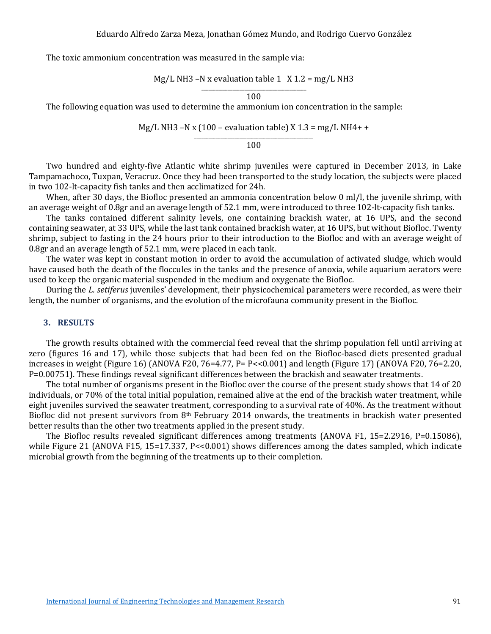The toxic ammonium concentration was measured in the sample via:

Mg/L NH3 –N x evaluation table  $1 \times 1.2 = mg/L$  NH3

\_\_\_\_\_\_\_\_\_\_\_\_\_\_\_\_\_\_\_\_\_\_\_\_\_\_\_\_\_\_\_\_\_\_\_\_\_\_\_\_\_\_\_\_ 100

The following equation was used to determine the ammonium ion concentration in the sample:

Mg/L NH3 –N x (100 – evaluation table) X 1.3 = mg/L NH4+ +

\_\_\_\_\_\_\_\_\_\_\_\_\_\_\_\_\_\_\_\_\_\_\_\_\_\_\_\_\_\_\_\_\_\_\_\_\_\_\_\_\_\_\_\_\_\_\_\_\_\_ 100

Two hundred and eighty-five Atlantic white shrimp juveniles were captured in December 2013, in Lake Tampamachoco, Tuxpan, Veracruz. Once they had been transported to the study location, the subjects were placed in two 102-lt-capacity fish tanks and then acclimatized for 24h.

When, after 30 days, the Biofloc presented an ammonia concentration below 0 ml/l, the juvenile shrimp, with an average weight of 0.8gr and an average length of 52.1 mm, were introduced to three 102-lt-capacity fish tanks.

The tanks contained different salinity levels, one containing brackish water, at 16 UPS, and the second containing seawater, at 33 UPS, while the last tank contained brackish water, at 16 UPS, but without Biofloc. Twenty shrimp, subject to fasting in the 24 hours prior to their introduction to the Biofloc and with an average weight of 0.8gr and an average length of 52.1 mm, were placed in each tank.

The water was kept in constant motion in order to avoid the accumulation of activated sludge, which would have caused both the death of the floccules in the tanks and the presence of anoxia, while aquarium aerators were used to keep the organic material suspended in the medium and oxygenate the Biofloc.

During the *L. setiferus* juveniles' development, their physicochemical parameters were recorded, as were their length, the number of organisms, and the evolution of the microfauna community present in the Biofloc.

## **3. RESULTS**

The growth results obtained with the commercial feed reveal that the shrimp population fell until arriving at zero (figures 16 and 17), while those subjects that had been fed on the Biofloc-based diets presented gradual increases in weight (Figure 16) (ANOVA F20, 76=4.77, P= P<<0.001) and length (Figure 17) (ANOVA F20, 76=2.20, P=0.00751). These findings reveal significant differences between the brackish and seawater treatments.

The total number of organisms present in the Biofloc over the course of the present study shows that 14 of 20 individuals, or 70% of the total initial population, remained alive at the end of the brackish water treatment, while eight juveniles survived the seawater treatment, corresponding to a survival rate of 40%. As the treatment without Biofloc did not present survivors from 8th February 2014 onwards, the treatments in brackish water presented better results than the other two treatments applied in the present study.

The Biofloc results revealed significant differences among treatments (ANOVA F1, 15=2.2916, P=0.15086), while Figure 21 (ANOVA F15, 15=17.337, P<<0.001) shows differences among the dates sampled, which indicate microbial growth from the beginning of the treatments up to their completion.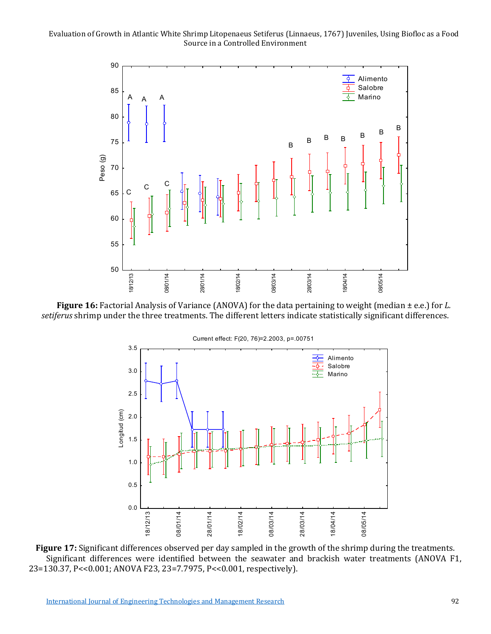#### Evaluation of Growth in Atlantic White Shrimp Litopenaeus Setiferus (Linnaeus, 1767) Juveniles, Using Biofloc as a Food Source in a Controlled Environment



**Figure 16:** Factorial Analysis of Variance (ANOVA) for the data pertaining to weight (median ± e.e.) for *L. setiferus* shrimp under the three treatments. The different letters indicate statistically significant differences.



**Figure 17:** Significant differences observed per day sampled in the growth of the shrimp during the treatments. Significant differences were identified between the seawater and brackish water treatments (ANOVA F1, 23=130.37, P<<0.001; ANOVA F23, 23=7.7975, P<<0.001, respectively).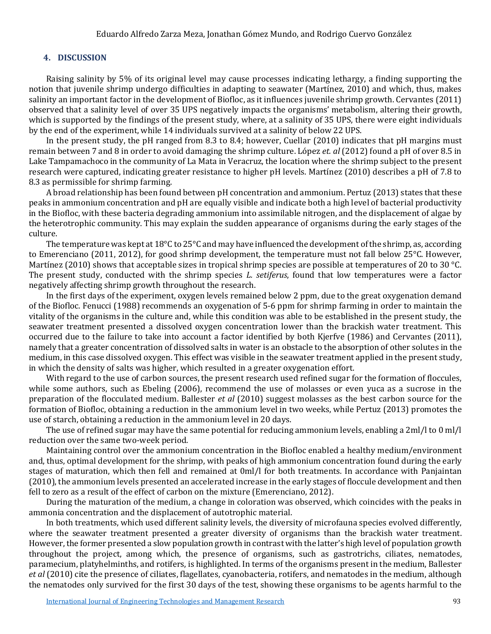# **4. DISCUSSION**

Raising salinity by 5% of its original level may cause processes indicating lethargy, a finding supporting the notion that juvenile shrimp undergo difficulties in adapting to seawater (Martínez, 2010) and which, thus, makes salinity an important factor in the development of Biofloc, as it influences juvenile shrimp growth. Cervantes (2011) observed that a salinity level of over 35 UPS negatively impacts the organisms' metabolism, altering their growth, which is supported by the findings of the present study, where, at a salinity of 35 UPS, there were eight individuals by the end of the experiment, while 14 individuals survived at a salinity of below 22 UPS.

In the present study, the pH ranged from 8.3 to 8.4; however, Cuellar (2010) indicates that pH margins must remain between 7 and 8 in order to avoid damaging the shrimp culture. López *et. al* (2012) found a pH of over 8.5 in Lake Tampamachoco in the community of La Mata in Veracruz, the location where the shrimp subject to the present research were captured, indicating greater resistance to higher pH levels. Martínez (2010) describes a pH of 7.8 to 8.3 as permissible for shrimp farming.

A broad relationship has been found between pH concentration and ammonium. Pertuz (2013) states that these peaks in ammonium concentration and pH are equally visible and indicate both a high level of bacterial productivity in the Biofloc, with these bacteria degrading ammonium into assimilable nitrogen, and the displacement of algae by the heterotrophic community. This may explain the sudden appearance of organisms during the early stages of the culture.

The temperature was kept at 18°C to 25°C and may have influenced the development of the shrimp, as, according to Emerenciano (2011, 2012), for good shrimp development, the temperature must not fall below 25°C. However, Martínez (2010) shows that acceptable sizes in tropical shrimp species are possible at temperatures of 20 to 30 °C. The present study, conducted with the shrimp species *L. setiferus*, found that low temperatures were a factor negatively affecting shrimp growth throughout the research.

In the first days of the experiment, oxygen levels remained below 2 ppm, due to the great oxygenation demand of the Biofloc. Fenucci (1988) recommends an oxygenation of 5-6 ppm for shrimp farming in order to maintain the vitality of the organisms in the culture and, while this condition was able to be established in the present study, the seawater treatment presented a dissolved oxygen concentration lower than the brackish water treatment. This occurred due to the failure to take into account a factor identified by both Kjerfve (1986) and Cervantes (2011), namely that a greater concentration of dissolved salts in water is an obstacle to the absorption of other solutes in the medium, in this case dissolved oxygen. This effect was visible in the seawater treatment applied in the present study, in which the density of salts was higher, which resulted in a greater oxygenation effort.

With regard to the use of carbon sources, the present research used refined sugar for the formation of floccules, while some authors, such as Ebeling (2006), recommend the use of molasses or even yuca as a sucrose in the preparation of the flocculated medium. Ballester *et al* (2010) suggest molasses as the best carbon source for the formation of Biofloc, obtaining a reduction in the ammonium level in two weeks, while Pertuz (2013) promotes the use of starch, obtaining a reduction in the ammonium level in 20 days.

The use of refined sugar may have the same potential for reducing ammonium levels, enabling a 2ml/l to 0 ml/l reduction over the same two-week period.

Maintaining control over the ammonium concentration in the Biofloc enabled a healthy medium/environment and, thus, optimal development for the shrimp, with peaks of high ammonium concentration found during the early stages of maturation, which then fell and remained at 0ml/l for both treatments. In accordance with Panjaintan (2010), the ammonium levels presented an accelerated increase in the early stages of floccule development and then fell to zero as a result of the effect of carbon on the mixture (Emerenciano, 2012).

During the maturation of the medium, a change in coloration was observed, which coincides with the peaks in ammonia concentration and the displacement of autotrophic material.

In both treatments, which used different salinity levels, the diversity of microfauna species evolved differently, where the seawater treatment presented a greater diversity of organisms than the brackish water treatment. However, the former presented a slow population growth in contrast with the latter's high level of population growth throughout the project, among which, the presence of organisms, such as gastrotrichs, ciliates, nematodes, paramecium, platyhelminths, and rotifers, is highlighted. In terms of the organisms present in the medium, Ballester *et al* (2010) cite the presence of ciliates, flagellates, cyanobacteria, rotifers, and nematodes in the medium, although the nematodes only survived for the first 30 days of the test, showing these organisms to be agents harmful to the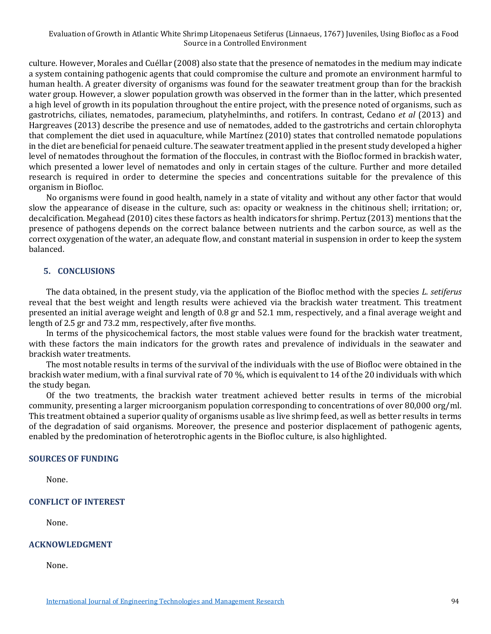Evaluation of Growth in Atlantic White Shrimp Litopenaeus Setiferus (Linnaeus, 1767) Juveniles, Using Biofloc as a Food Source in a Controlled Environment

culture. However, Morales and Cuéllar (2008) also state that the presence of nematodes in the medium may indicate a system containing pathogenic agents that could compromise the culture and promote an environment harmful to human health. A greater diversity of organisms was found for the seawater treatment group than for the brackish water group. However, a slower population growth was observed in the former than in the latter, which presented a high level of growth in its population throughout the entire project, with the presence noted of organisms, such as gastrotrichs, ciliates, nematodes, paramecium, platyhelminths, and rotifers. In contrast, Cedano *et al* (2013) and Hargreaves (2013) describe the presence and use of nematodes, added to the gastrotrichs and certain chlorophyta that complement the diet used in aquaculture, while Martínez (2010) states that controlled nematode populations in the diet are beneficial for penaeid culture. The seawater treatment applied in the present study developed a higher level of nematodes throughout the formation of the floccules, in contrast with the Biofloc formed in brackish water, which presented a lower level of nematodes and only in certain stages of the culture. Further and more detailed research is required in order to determine the species and concentrations suitable for the prevalence of this organism in Biofloc.

No organisms were found in good health, namely in a state of vitality and without any other factor that would slow the appearance of disease in the culture, such as: opacity or weakness in the chitinous shell; irritation; or, decalcification. Megahead (2010) cites these factors as health indicators for shrimp. Pertuz (2013) mentions that the presence of pathogens depends on the correct balance between nutrients and the carbon source, as well as the correct oxygenation of the water, an adequate flow, and constant material in suspension in order to keep the system balanced.

#### **5. CONCLUSIONS**

The data obtained, in the present study, via the application of the Biofloc method with the species *L. setiferus* reveal that the best weight and length results were achieved via the brackish water treatment. This treatment presented an initial average weight and length of 0.8 gr and 52.1 mm, respectively, and a final average weight and length of 2.5 gr and 73.2 mm, respectively, after five months.

In terms of the physicochemical factors, the most stable values were found for the brackish water treatment, with these factors the main indicators for the growth rates and prevalence of individuals in the seawater and brackish water treatments.

The most notable results in terms of the survival of the individuals with the use of Biofloc were obtained in the brackish water medium, with a final survival rate of 70 %, which is equivalent to 14 of the 20 individuals with which the study began.

Of the two treatments, the brackish water treatment achieved better results in terms of the microbial community, presenting a larger microorganism population corresponding to concentrations of over 80,000 org/ml. This treatment obtained a superior quality of organisms usable as live shrimp feed, as well as better results in terms of the degradation of said organisms. Moreover, the presence and posterior displacement of pathogenic agents, enabled by the predomination of heterotrophic agents in the Biofloc culture, is also highlighted.

#### **SOURCES OF FUNDING**

None.

## **CONFLICT OF INTEREST**

None.

#### **ACKNOWLEDGMENT**

None.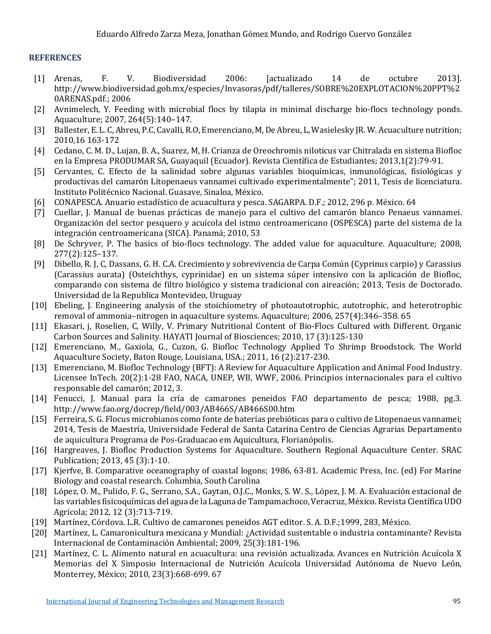# **REFERENCES**

- [1] Arenas, F. V. Biodiversidad 2006: [actualizado 14 de octubre 2013]. http://www.biodiversidad.gob.mx/especies/Invasoras/pdf/talleres/SOBRE%20EXPLOTACION%20PPT%2 0ARENAS.pdf.; 2006
- [2] Avnimelech, Y. Feeding with microbial flocs by tilapia in minimal discharge bio-flocs technology ponds. Aquaculture; 2007, 264(5):140–147.
- [3] Ballester, E. L. C, Abreu, P.C, Cavalli, R.O, Emerenciano, M, De Abreu, L, Wasielesky JR. W. Acuaculture nutrition; 2010,16 163-172
- [4] Cedano, C. M. D., Lujan, B. A., Suarez, M, H. Crianza de Oreochromis niloticus var Chitralada en sistema Biofloc en la Empresa PRODUMAR SA, Guayaquil (Ecuador). Revista Científica de Estudiantes; 2013,1(2):79-91.
- [5] Cervantes, C. Efecto de la salinidad sobre algunas variables bioquímicas, inmunológicas, fisiológicas y productivas del camarón Litopenaeus vannamei cultivado experimentalmente"; 2011, Tesis de licenciatura. Instituto Politécnico Nacional. Guasave, Sinaloa, México.
- [6] CONAPESCA. Anuario estadístico de acuacultura y pesca. SAGARPA. D.F.; 2012, 296 p. México. 64
- [7] Cuellar, J. Manual de buenas prácticas de manejo para el cultivo del camarón blanco Penaeus vannamei. Organización del sector pesquero y acuícola del istmo centroamericano (OSPESCA) parte del sistema de la integración centroamericana (SICA). Panamá; 2010, 53
- [8] De Schryver, P. The basics of bio-flocs technology. The added value for aquaculture. Aquaculture; 2008, 277(2):125–137.
- [9] Dibello, R. J, C, Dassans, G. H. C.A. Crecimiento y sobrevivencia de Carpa Común (Cyprinus carpio) y Carassius (Carassius aurata) (Osteichthys, cyprinidae) en un sistema súper intensivo con la aplicación de Biofloc, comparando con sistema de filtro biológico y sistema tradicional con aireación; 2013, Tesis de Doctorado. Universidad de la Republica Montevideo, Uruguay
- [10] Ebeling, J. Engineering analysis of the stoichiometry of photoautotrophic, autotrophic, and heterotrophic removal of ammonia–nitrogen in aquaculture systems. Aquaculture; 2006, 257(4):346–358. 65
- [11] Ekasari, j, Roselien, C, Willy, V. Primary Nutritional Content of Bio-Flocs Cultured with Different. Organic Carbon Sources and Salinity. HAYATI Journal of Biosciences; 2010, 17 (3):125-130
- [12] Emerenciano, M., Gaxiola, G., Cuzon, G. Biofloc Technology Applied To Shrimp Broodstock. The World Aquaculture Society, Baton Rouge, Louisiana, USA.; 2011, 16 (2):217-230.
- [13] Emerenciano, M. Biofloc Technology (BFT): A Review for Aquaculture Application and Animal Food Industry. Licensee InTech. 20(2):1-28 FAO, NACA, UNEP, WB, WWF, 2006. Principios internacionales para el cultivo responsable del camarón; 2012, 3.
- [14] Fenucci, J. Manual para la cría de camarones peneidos FAO departamento de pesca; 1988, pg.3. http://www.fao.org/docrep/field/003/AB466S/AB466S00.htm
- [15] Ferreira, S. G. Flocus microbianos como fonte de baterías prebióticas para o cultivo de Litopenaeus vannamei; 2014, Tesis de Maestría, Universidade Federal de Santa Catarina Centro de Ciencias Agrarias Departamento de aquicultura Programa de Pos-Graduacao em Aquicultura, Florianópolis.
- [16] Hargreaves, J. Biofloc Production Systems for Aquaculture. Southern Regional Aquaculture Center. SRAC Publication; 2013, 45 (3):1-10.
- [17] Kjerfve, B. Comparative oceanography of coastal logons; 1986, 63-81. Academic Press, Inc. (ed) For Marine Biology and coastal research. Columbia, South Carolina
- [18] López, O. M., Pulido, F. G., Serrano, S.A., Gaytan, O.J.C., Monks, S. W. S., López, J. M. A. Evaluación estacional de las variables fisicoquímicas del agua de la Laguna de Tampamachoco, Veracruz, México. Revista Científica UDO Agrícola; 2012, 12 (3):713-719.
- [19] Martínez, Córdova. L.R. Cultivo de camarones peneidos AGT editor. S. A. D.F.;1999, 283, México.
- [20] Martínez, L. Camaronicultura mexicana y Mundial: ¿Actividad sustentable o industria contaminante? Revista Internacional de Contaminación Ambiental; 2009, 25(3):181-196.
- [21] Martínez, C. L. Alimento natural en acuacultura: una revisión actualizada. Avances en Nutrición Acuícola X Memorias del X Simposio Internacional de Nutrición Acuícola Universidad Autónoma de Nuevo León, Monterrey, México; 2010, 23(3):668-699. 67